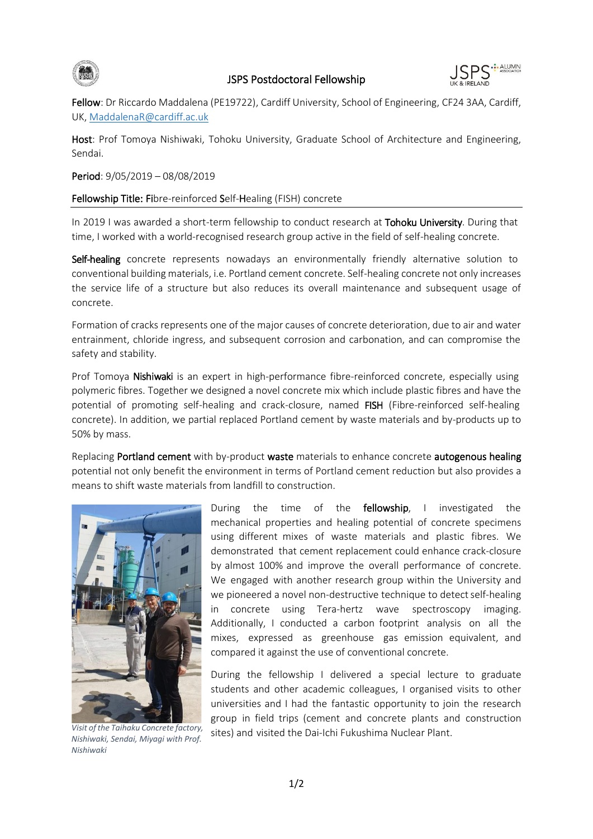



Fellow: Dr Riccardo Maddalena (PE19722), Cardiff University, School of Engineering, CF24 3AA, Cardiff, UK[, MaddalenaR@cardiff.ac.uk](mailto:MaddalenaR@cardiff.ac.uk)

Host: Prof Tomoya Nishiwaki, Tohoku University, Graduate School of Architecture and Engineering, Sendai.

Period: 9/05/2019 – 08/08/2019

## Fellowship Title: Fibre-reinforced Self-Healing (FISH) concrete

In 2019 I was awarded a short-term fellowship to conduct research at Tohoku University. During that time, I worked with a world-recognised research group active in the field of self-healing concrete.

Self-healing concrete represents nowadays an environmentally friendly alternative solution to conventional building materials, i.e. Portland cement concrete. Self-healing concrete not only increases the service life of a structure but also reduces its overall maintenance and subsequent usage of concrete.

Formation of cracks represents one of the major causes of concrete deterioration, due to air and water entrainment, chloride ingress, and subsequent corrosion and carbonation, and can compromise the safety and stability.

Prof Tomoya Nishiwaki is an expert in high-performance fibre-reinforced concrete, especially using polymeric fibres. Together we designed a novel concrete mix which include plastic fibres and have the potential of promoting self-healing and crack-closure, named FISH (Fibre-reinforced self-healing concrete). In addition, we partial replaced Portland cement by waste materials and by-products up to 50% by mass.

Replacing Portland cement with by-product waste materials to enhance concrete autogenous healing potential not only benefit the environment in terms of Portland cement reduction but also provides a means to shift waste materials from landfill to construction.



*Nishiwaki, Sendai, Miyagi with Prof. Nishiwaki*

During the time of the **fellowship**. I investigated the mechanical properties and healing potential of concrete specimens using different mixes of waste materials and plastic fibres. We demonstrated that cement replacement could enhance crack-closure by almost 100% and improve the overall performance of concrete. We engaged with another research group within the University and we pioneered a novel non-destructive technique to detect self-healing in concrete using Tera-hertz wave spectroscopy imaging. Additionally, I conducted a carbon footprint analysis on all the mixes, expressed as greenhouse gas emission equivalent, and compared it against the use of conventional concrete.

During the fellowship I delivered a special lecture to graduate students and other academic colleagues, I organised visits to other universities and I had the fantastic opportunity to join the research group in field trips (cement and concrete plants and construction visit of the Taihaku Concrete factory, sites) and visited the Dai-Ichi Fukushima Nuclear Plant.